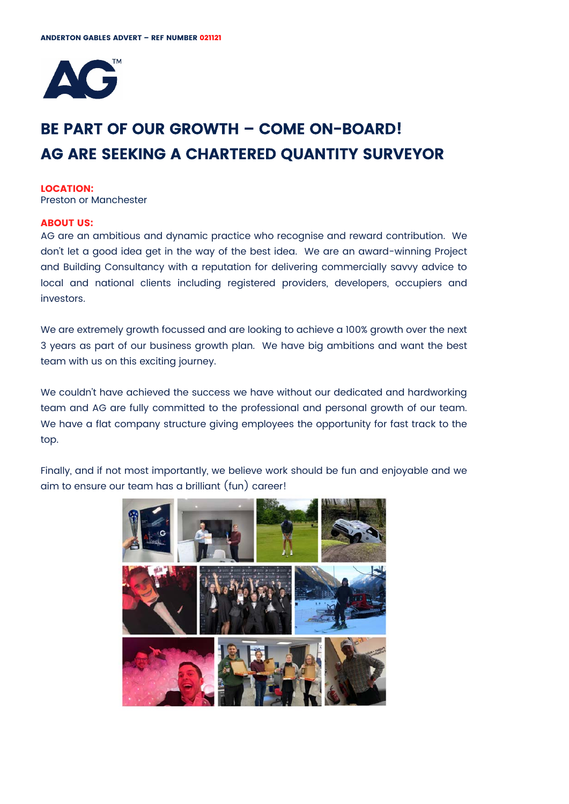

# **BE PART OF OUR GROWTH – COME ON-BOARD! AG ARE SEEKING A CHARTERED QUANTITY SURVEYOR**

#### **LOCATION:**

Preston or Manchester

#### **ABOUT US:**

AG are an ambitious and dynamic practice who recognise and reward contribution. We don't let a good idea get in the way of the best idea. We are an award-winning Project and Building Consultancy with a reputation for delivering commercially savvy advice to local and national clients including registered providers, developers, occupiers and investors.

We are extremely growth focussed and are looking to achieve a 100% growth over the next 3 years as part of our business growth plan. We have big ambitions and want the best team with us on this exciting journey.

We couldn't have achieved the success we have without our dedicated and hardworking team and AG are fully committed to the professional and personal growth of our team. We have a flat company structure giving employees the opportunity for fast track to the top.

Finally, and if not most importantly, we believe work should be fun and enjoyable and we aim to ensure our team has a brilliant (fun) career!

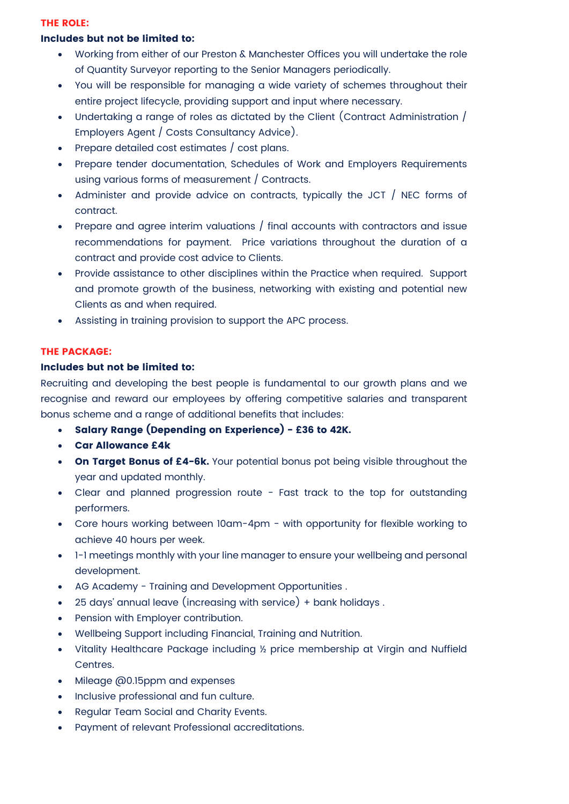#### **THE ROLE:**

# **Includes but not be limited to:**

- Working from either of our Preston & Manchester Offices you will undertake the role of Quantity Surveyor reporting to the Senior Managers periodically.
- You will be responsible for managing a wide variety of schemes throughout their entire project lifecycle, providing support and input where necessary.
- Undertaking a range of roles as dictated by the Client (Contract Administration / Employers Agent / Costs Consultancy Advice).
- Prepare detailed cost estimates / cost plans.
- Prepare tender documentation, Schedules of Work and Employers Requirements using various forms of measurement / Contracts.
- Administer and provide advice on contracts, typically the JCT / NEC forms of contract.
- Prepare and agree interim valuations / final accounts with contractors and issue recommendations for payment. Price variations throughout the duration of a contract and provide cost advice to Clients.
- Provide assistance to other disciplines within the Practice when required. Support and promote growth of the business, networking with existing and potential new Clients as and when required.
- Assisting in training provision to support the APC process.

# **THE PACKAGE:**

# **Includes but not be limited to:**

Recruiting and developing the best people is fundamental to our growth plans and we recognise and reward our employees by offering competitive salaries and transparent bonus scheme and a range of additional benefits that includes:

- **Salary Range (Depending on Experience) £36 to 42K.**
- **Car Allowance £4k**
- **On Target Bonus of £4-6k.** Your potential bonus pot being visible throughout the year and updated monthly.
- Clear and planned progression route Fast track to the top for outstanding performers.
- Core hours working between 10am-4pm with opportunity for flexible working to achieve 40 hours per week.
- 1-1 meetings monthly with your line manager to ensure your wellbeing and personal development.
- AG Academy Training and Development Opportunities .
- 25 days' annual leave (increasing with service) + bank holidays .
- Pension with Employer contribution.
- Wellbeing Support including Financial, Training and Nutrition.
- Vitality Healthcare Package including ½ price membership at Virgin and Nuffield Centres.
- Mileage @0.15ppm and expenses
- Inclusive professional and fun culture.
- Regular Team Social and Charity Events.
- Payment of relevant Professional accreditations.